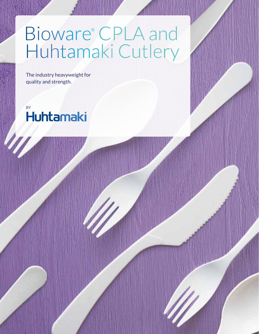## Bioware® CPLA and Huhtamaki Cutlery

The industry heavyweight for quality and strength.

**Huhtamaki**